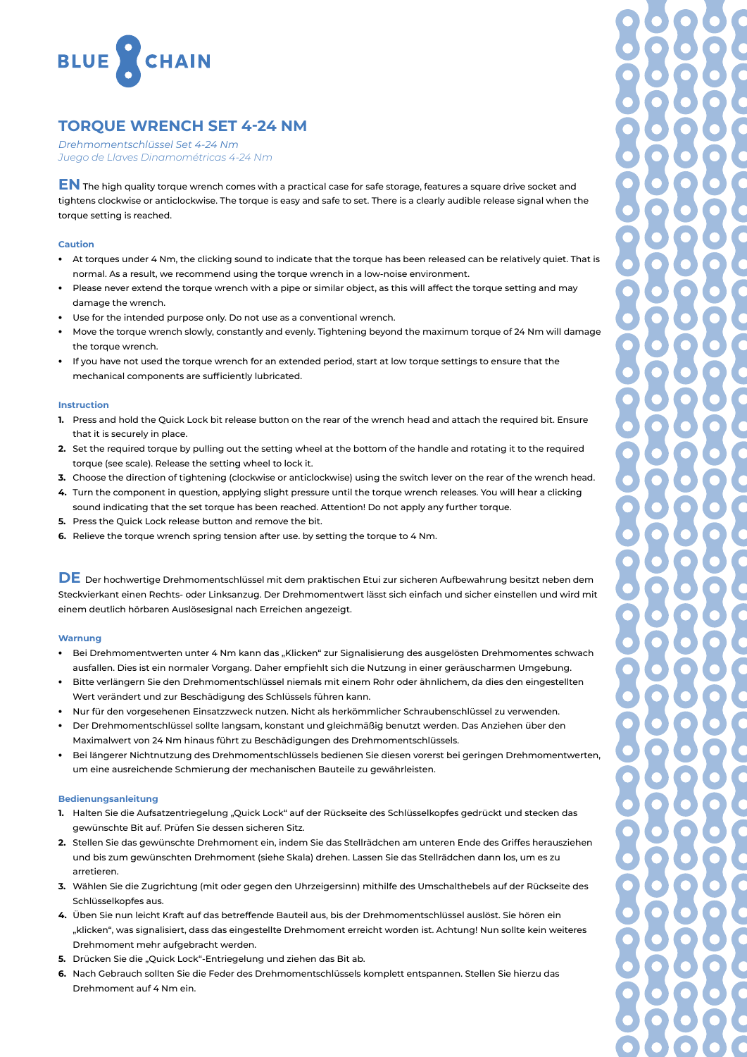

# **TORQUE WRENCH SET 4-24 NM**

*Drehmomentschlüssel Set 4-24 Nm Juego de Llaves Dinamométricas 4-24 Nm*

**EN** The high quality torque wrench comes with a practical case for safe storage, features a square drive socket and tightens clockwise or anticlockwise. The torque is easy and safe to set. There is a clearly audible release signal when the torque setting is reached.

### **Caution**

- At torques under 4 Nm, the clicking sound to indicate that the torque has been released can be relatively quiet. That is normal. As a result, we recommend using the torque wrench in a low-noise environment.
- Please never extend the torque wrench with a pipe or similar object, as this will affect the torque setting and may damage the wrench.
- Use for the intended purpose only. Do not use as a conventional wrench.
- Move the torque wrench slowly, constantly and evenly. Tightening beyond the maximum torque of 24 Nm will damage the torque wrench.
- If you have not used the torque wrench for an extended period, start at low torque settings to ensure that the mechanical components are sufficiently lubricated.

## **Instruction**

- **1.** Press and hold the Quick Lock bit release button on the rear of the wrench head and attach the required bit. Ensure that it is securely in place.
- **2.** Set the required torque by pulling out the setting wheel at the bottom of the handle and rotating it to the required torque (see scale). Release the setting wheel to lock it.
- **3.** Choose the direction of tightening (clockwise or anticlockwise) using the switch lever on the rear of the wrench head.
- **4.** Turn the component in question, applying slight pressure until the torque wrench releases. You will hear a clicking sound indicating that the set torque has been reached. Attention! Do not apply any further torque.
- **5.** Press the Quick Lock release button and remove the bit.
- **6.** Relieve the torque wrench spring tension after use. by setting the torque to 4 Nm.

**DE** Der hochwertige Drehmomentschlüssel mit dem praktischen Etui zur sicheren Aufbewahrung besitzt neben dem Steckvierkant einen Rechts- oder Linksanzug. Der Drehmomentwert lässt sich einfach und sicher einstellen und wird mit einem deutlich hörbaren Auslösesignal nach Erreichen angezeigt.

#### **Warnung**

- Bei Drehmomentwerten unter 4 Nm kann das "Klicken" zur Signalisierung des ausgelösten Drehmomentes schwach ausfallen. Dies ist ein normaler Vorgang. Daher empfiehlt sich die Nutzung in einer geräuscharmen Umgebung.
- ظ Bitte verlängern Sie den Drehmomentschlüssel niemals mit einem Rohr oder ähnlichem, da dies den eingestellten Wert verändert und zur Beschädigung des Schlüssels führen kann.
- ظ Nur für den vorgesehenen Einsatzzweck nutzen. Nicht als herkömmlicher Schraubenschlüssel zu verwenden.
- ظ Der Drehmomentschlüssel sollte langsam, konstant und gleichmäßig benutzt werden. Das Anziehen über den Maximalwert von 24 Nm hinaus führt zu Beschädigungen des Drehmomentschlüssels.
- Bei längerer Nichtnutzung des Drehmomentschlüssels bedienen Sie diesen vorerst bei geringen Drehmomentwerten, um eine ausreichende Schmierung der mechanischen Bauteile zu gewährleisten.

#### **Bedienungsanleitung**

- 1. Halten Sie die Aufsatzentriegelung "Quick Lock" auf der Rückseite des Schlüsselkopfes gedrückt und stecken das gewünschte Bit auf. Prüfen Sie dessen sicheren Sitz.
- **2.** Stellen Sie das gewünschte Drehmoment ein, indem Sie das Stellrädchen am unteren Ende des Griffes herausziehen und bis zum gewünschten Drehmoment (siehe Skala) drehen. Lassen Sie das Stellrädchen dann los, um es zu arretieren.
- **3.** Wählen Sie die Zugrichtung (mit oder gegen den Uhrzeigersinn) mithilfe des Umschalthebels auf der Rückseite des Schlüsselkopfes aus.
- **4.** Üben Sie nun leicht Kraft auf das betreffende Bauteil aus, bis der Drehmomentschlüssel auslöst. Sie hören ein "klicken", was signalisiert, dass das eingestellte Drehmoment erreicht worden ist. Achtung! Nun sollte kein weiteres Drehmoment mehr aufgebracht werden.
- 5. Drücken Sie die "Quick Lock"-Entriegelung und ziehen das Bit ab.
- **6.** Nach Gebrauch sollten Sie die Feder des Drehmomentschlüssels komplett entspannen. Stellen Sie hierzu das Drehmoment auf 4 Nm ein.